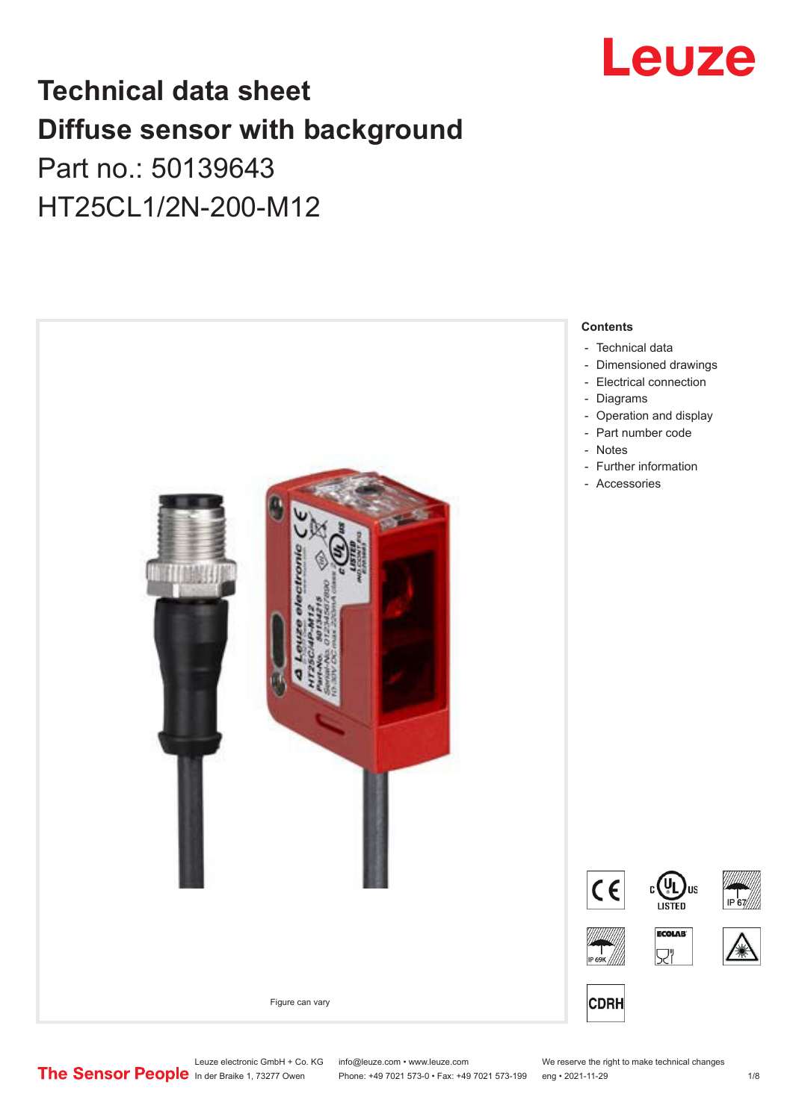

## **Technical data sheet Diffuse sensor with background**  Part no.: 50139643

HT25CL1/2N-200-M12



Leuze electronic GmbH + Co. KG info@leuze.com • www.leuze.com We reserve the right to make technical changes<br>
The Sensor People in der Braike 1, 73277 Owen Phone: +49 7021 573-0 • Fax: +49 7021 573-199 eng • 2021-11-29

Phone: +49 7021 573-0 • Fax: +49 7021 573-199 eng • 2021-11-29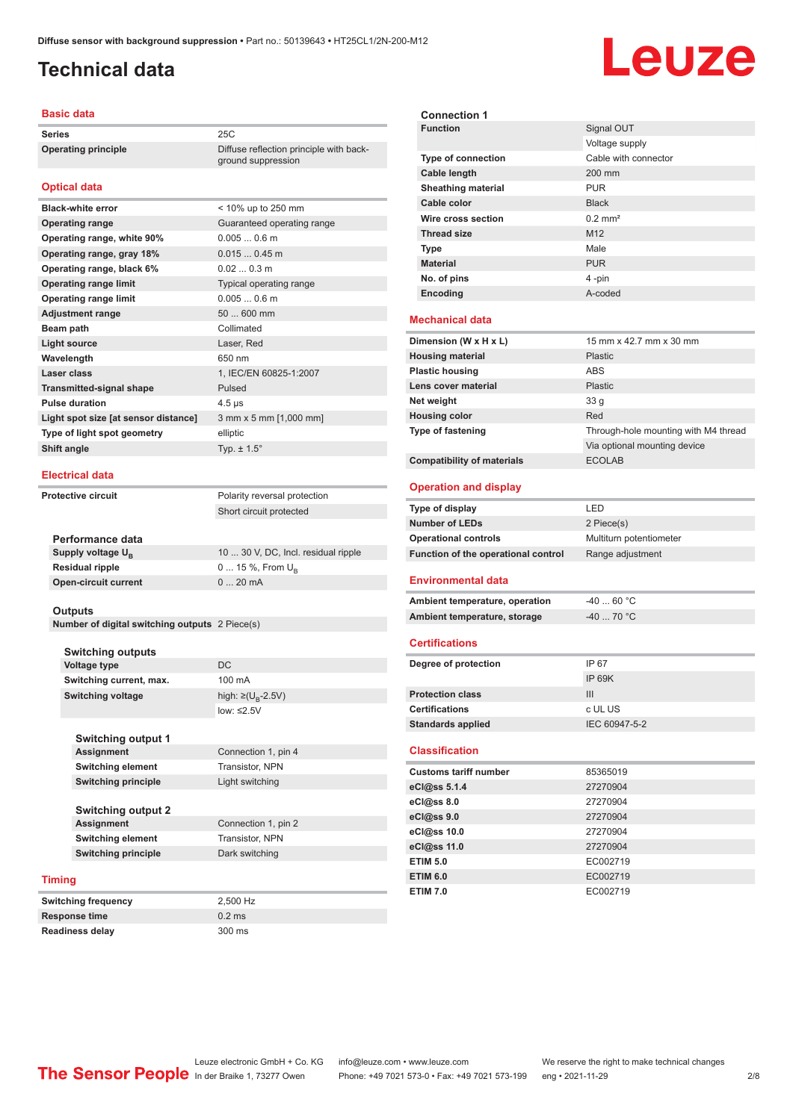ground suppression

#### <span id="page-1-0"></span>**Technical data**

# Leuze

#### **Basic data**

**Series** 25C **Operating principle** Diffuse reflection principle with back-

#### **Optical data**

| <b>Black-white error</b>             | < 10% up to 250 mm         |
|--------------------------------------|----------------------------|
| <b>Operating range</b>               | Guaranteed operating range |
| Operating range, white 90%           | $0.0050.6$ m               |
| Operating range, gray 18%            | $0.0150.45$ m              |
| Operating range, black 6%            | $0.020.3$ m                |
| <b>Operating range limit</b>         | Typical operating range    |
| <b>Operating range limit</b>         | $0.0050.6$ m               |
| <b>Adjustment range</b>              | 50  600 mm                 |
| Beam path                            | Collimated                 |
| <b>Light source</b>                  | Laser, Red                 |
| Wavelength                           | 650 nm                     |
| Laser class                          | 1, IEC/EN 60825-1:2007     |
| <b>Transmitted-signal shape</b>      | Pulsed                     |
| <b>Pulse duration</b>                | $4.5 \,\mathrm{\mu s}$     |
| Light spot size [at sensor distance] | 3 mm x 5 mm [1,000 mm]     |
| Type of light spot geometry          | elliptic                   |
| Shift angle                          | Typ. $\pm$ 1.5 $^{\circ}$  |
|                                      |                            |

#### **Electrical data**

**Protective circuit** Polarity reversal protection

Short circuit protected

| Performance data              |                                     |
|-------------------------------|-------------------------------------|
| Supply voltage U <sub>p</sub> | 10  30 V, DC, Incl. residual ripple |
| <b>Residual ripple</b>        | $0 15 \%$ , From $U_{p}$            |
| <b>Open-circuit current</b>   | $020$ mA                            |
|                               |                                     |

#### **Outputs**

**Number of digital switching outputs** 2 Piece(s)

| <b>Switching outputs</b> |                                    |
|--------------------------|------------------------------------|
| Voltage type             | DC.                                |
| Switching current, max.  | 100 mA                             |
| <b>Switching voltage</b> | high: $\geq (U_{\text{B}} - 2.5V)$ |
|                          | low: $\leq 2.5V$                   |
|                          |                                    |

**Switching output 1 Connection 1, pin 4 Switching element** Transistor, NPN **Switching principle** Light switching

**Switching output 2 Assignment** Connection 1, pin 2<br> **Switching element** Transistor, NPN **Switching element Switching principle** Dark switching

#### **Timing**

| Switching frequency    | 2.500 Hz |
|------------------------|----------|
| Response time          | $0.2$ ms |
| <b>Readiness delay</b> | 300 ms   |

| <b>Connection 1</b><br><b>Function</b>                                                                                                                                | Signal OUT                           |  |  |
|-----------------------------------------------------------------------------------------------------------------------------------------------------------------------|--------------------------------------|--|--|
|                                                                                                                                                                       | Voltage supply                       |  |  |
| <b>Type of connection</b>                                                                                                                                             | Cable with connector                 |  |  |
| <b>Cable length</b>                                                                                                                                                   | 200 mm                               |  |  |
| Sheathing material                                                                                                                                                    | <b>PUR</b>                           |  |  |
| Cable color                                                                                                                                                           | <b>Black</b>                         |  |  |
| Wire cross section                                                                                                                                                    | $0.2$ mm <sup>2</sup>                |  |  |
| <b>Thread size</b>                                                                                                                                                    | M <sub>12</sub>                      |  |  |
|                                                                                                                                                                       | Male                                 |  |  |
| <b>Type</b><br><b>Material</b>                                                                                                                                        |                                      |  |  |
| No. of pins                                                                                                                                                           | <b>PUR</b><br>4-pin                  |  |  |
|                                                                                                                                                                       | A-coded                              |  |  |
| Encoding                                                                                                                                                              |                                      |  |  |
| <b>Mechanical data</b>                                                                                                                                                |                                      |  |  |
| Dimension (W x H x L)                                                                                                                                                 | 15 mm x 42.7 mm x 30 mm              |  |  |
| <b>Housing material</b>                                                                                                                                               | <b>Plastic</b>                       |  |  |
| <b>Plastic housing</b>                                                                                                                                                | <b>ABS</b>                           |  |  |
| Lens cover material                                                                                                                                                   | Plastic                              |  |  |
| Net weight                                                                                                                                                            | 33 <sub>q</sub>                      |  |  |
| <b>Housing color</b>                                                                                                                                                  | Red                                  |  |  |
| <b>Type of fastening</b>                                                                                                                                              | Through-hole mounting with M4 thread |  |  |
|                                                                                                                                                                       | Via optional mounting device         |  |  |
| <b>Compatibility of materials</b>                                                                                                                                     | <b>ECOLAB</b>                        |  |  |
| <b>Operation and display</b>                                                                                                                                          |                                      |  |  |
|                                                                                                                                                                       |                                      |  |  |
|                                                                                                                                                                       | LED                                  |  |  |
| Type of display<br><b>Number of LEDs</b>                                                                                                                              | 2 Piece(s)                           |  |  |
| <b>Operational controls</b>                                                                                                                                           | Multiturn potentiometer              |  |  |
| Function of the operational control                                                                                                                                   | Range adjustment                     |  |  |
| <b>Environmental data</b>                                                                                                                                             |                                      |  |  |
| Ambient temperature, operation                                                                                                                                        | $-4060 °C$                           |  |  |
|                                                                                                                                                                       | -40  70 °C                           |  |  |
| Ambient temperature, storage<br><b>Certifications</b>                                                                                                                 |                                      |  |  |
|                                                                                                                                                                       |                                      |  |  |
|                                                                                                                                                                       | IP 67                                |  |  |
|                                                                                                                                                                       | <b>IP 69K</b>                        |  |  |
|                                                                                                                                                                       | III                                  |  |  |
|                                                                                                                                                                       | c UL US                              |  |  |
| Degree of protection<br><b>Protection class</b><br><b>Certifications</b><br><b>Standards applied</b>                                                                  | IEC 60947-5-2                        |  |  |
|                                                                                                                                                                       |                                      |  |  |
|                                                                                                                                                                       | 85365019                             |  |  |
|                                                                                                                                                                       | 27270904                             |  |  |
|                                                                                                                                                                       | 27270904                             |  |  |
|                                                                                                                                                                       | 27270904                             |  |  |
|                                                                                                                                                                       | 27270904                             |  |  |
|                                                                                                                                                                       | 27270904                             |  |  |
|                                                                                                                                                                       | EC002719                             |  |  |
| <b>Classification</b><br><b>Customs tariff number</b><br>eCl@ss 5.1.4<br>eCl@ss 8.0<br>eCl@ss 9.0<br>eCl@ss 10.0<br>eCl@ss 11.0<br><b>ETIM 5.0</b><br><b>ETIM 6.0</b> | EC002719                             |  |  |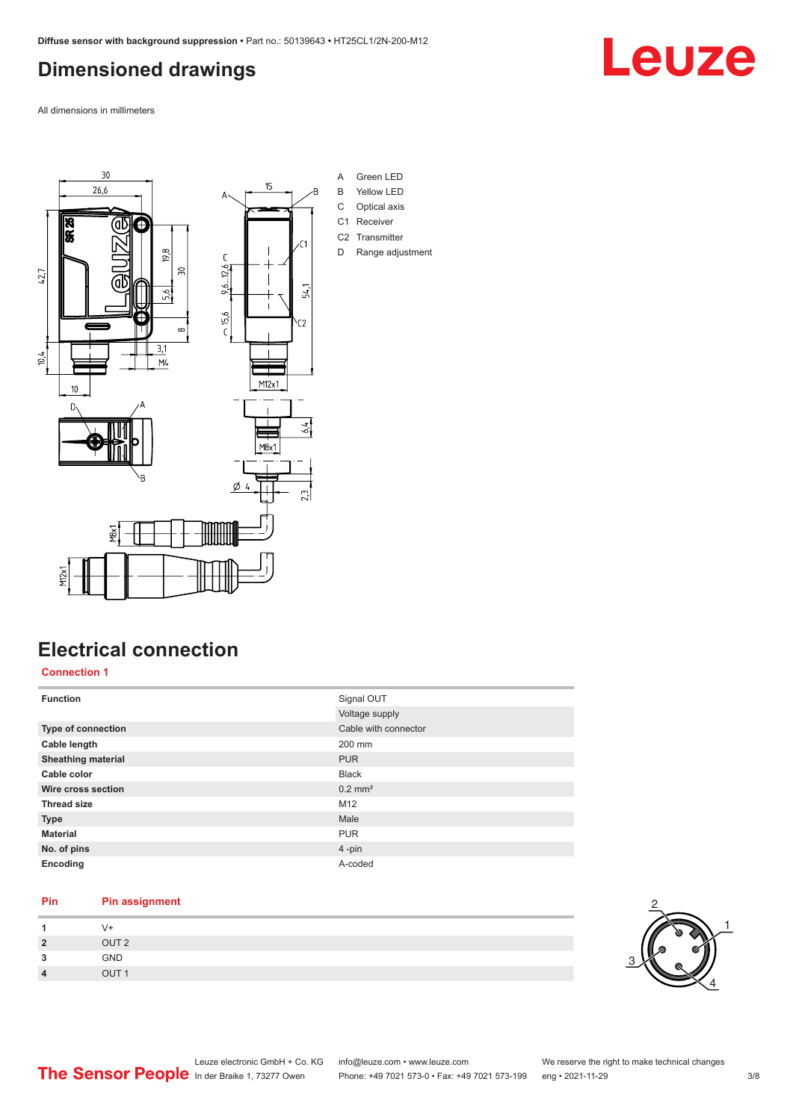### <span id="page-2-0"></span>**Dimensioned drawings**

All dimensions in millimeters



### **Electrical connection**

**Connection 1**

| <b>Function</b>           | Signal OUT            |
|---------------------------|-----------------------|
|                           | Voltage supply        |
| <b>Type of connection</b> | Cable with connector  |
| Cable length              | 200 mm                |
| <b>Sheathing material</b> | <b>PUR</b>            |
| Cable color               | <b>Black</b>          |
| Wire cross section        | $0.2$ mm <sup>2</sup> |
| <b>Thread size</b>        | M12                   |
| <b>Type</b>               | Male                  |
| <b>Material</b>           | <b>PUR</b>            |
| No. of pins               | 4-pin                 |
| Encoding                  | A-coded               |

#### **Pin Pin assignment**

|                        | $V +$            |
|------------------------|------------------|
| $\overline{2}$         | OUT <sub>2</sub> |
| ર<br>J                 | GND              |
| $\boldsymbol{\Lambda}$ | $O$ IJT1         |



## Leuze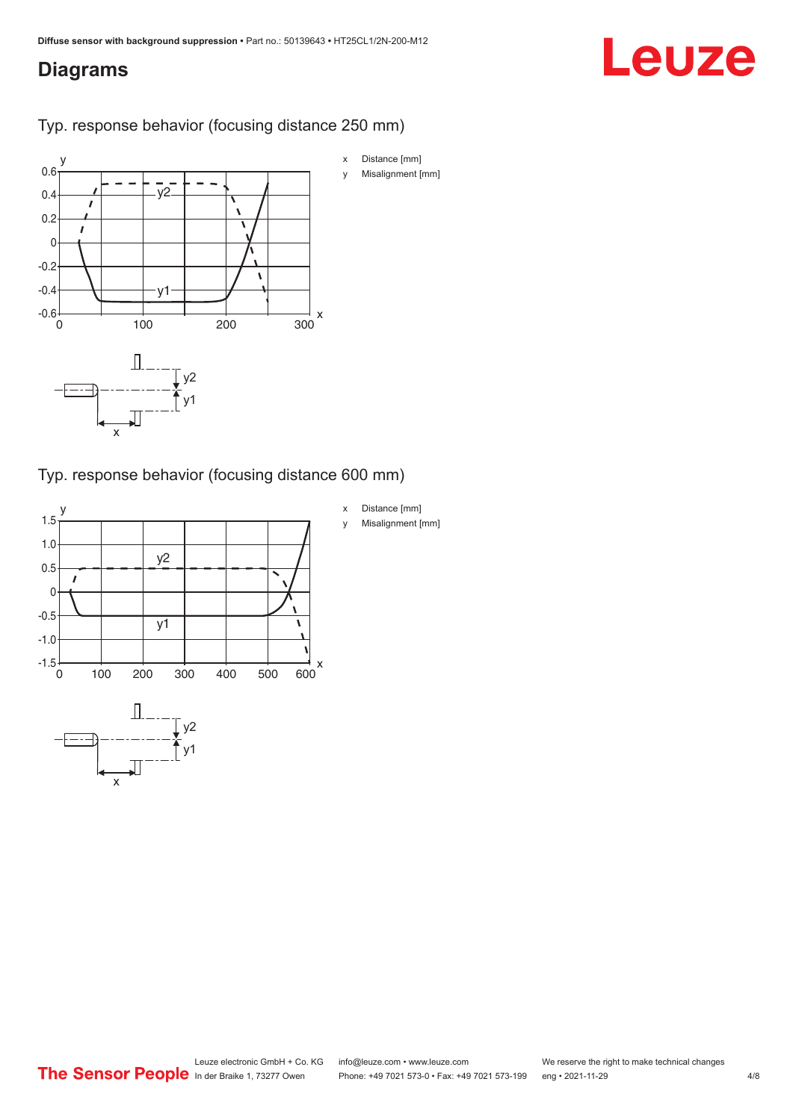#### <span id="page-3-0"></span>**Diagrams**

# Leuze

Typ. response behavior (focusing distance 250 mm)



Typ. response behavior (focusing distance 600 mm)

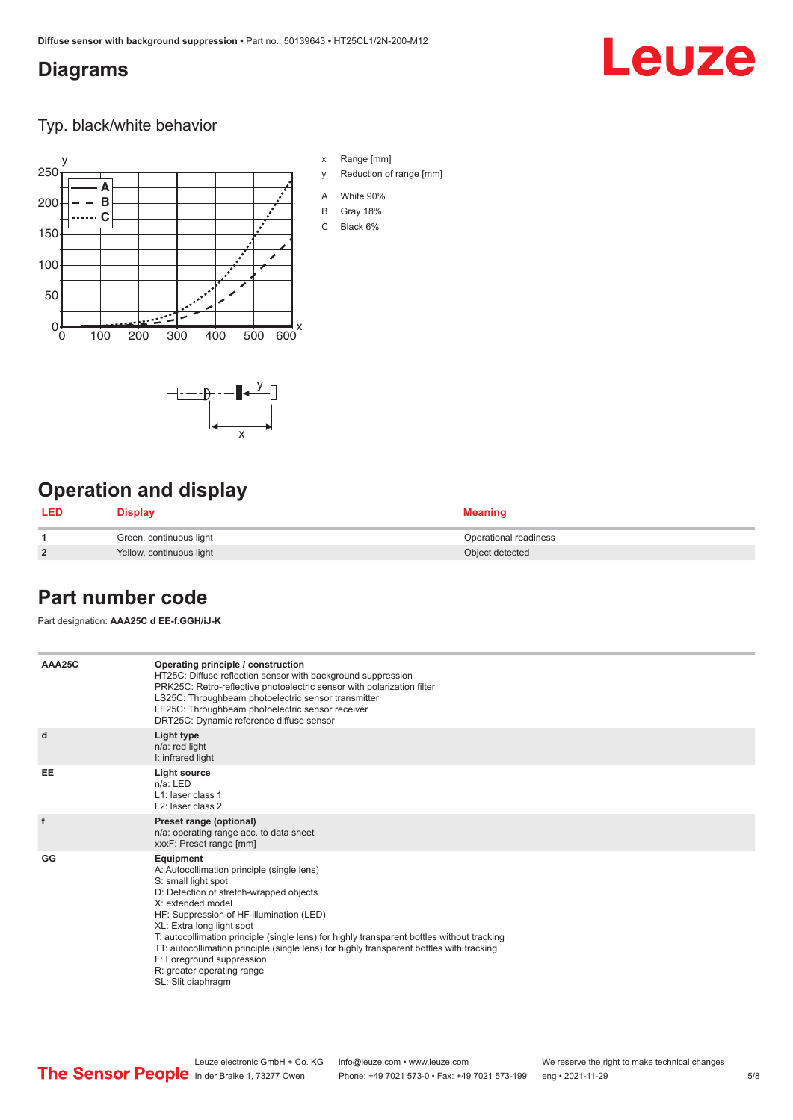x

 $-\overline{...}$   $-\overline{...}$   $-\overline{...}$ 

#### <span id="page-4-0"></span>**Diagrams**

# Leuze

Typ. black/white behavior



x Range [mm]

- y Reduction of range [mm]
- A White 90%
- B Gray 18%
- C Black 6%

### **Operation and display**

| <b>LED</b>     | Display                  | <b>Meaning</b>        |
|----------------|--------------------------|-----------------------|
|                | Green, continuous light  | Operational readiness |
| $\overline{2}$ | Yellow, continuous light | Object detected       |

#### **Part number code**

Part designation: **AAA25C d EE-f.GGH/iJ-K**

| AAA25C | Operating principle / construction<br>HT25C: Diffuse reflection sensor with background suppression<br>PRK25C: Retro-reflective photoelectric sensor with polarization filter<br>LS25C: Throughbeam photoelectric sensor transmitter<br>LE25C: Throughbeam photoelectric sensor receiver<br>DRT25C: Dynamic reference diffuse sensor                                                                                                                                                                |
|--------|----------------------------------------------------------------------------------------------------------------------------------------------------------------------------------------------------------------------------------------------------------------------------------------------------------------------------------------------------------------------------------------------------------------------------------------------------------------------------------------------------|
| d      | Light type<br>n/a: red light<br>I: infrared light                                                                                                                                                                                                                                                                                                                                                                                                                                                  |
| EE     | Light source<br>$n/a$ : LED<br>$L1$ : laser class 1<br>L <sub>2</sub> : laser class 2                                                                                                                                                                                                                                                                                                                                                                                                              |
| f      | Preset range (optional)<br>n/a: operating range acc. to data sheet<br>xxxF: Preset range [mm]                                                                                                                                                                                                                                                                                                                                                                                                      |
| GG     | Equipment<br>A: Autocollimation principle (single lens)<br>S: small light spot<br>D: Detection of stretch-wrapped objects<br>X: extended model<br>HF: Suppression of HF illumination (LED)<br>XL: Extra long light spot<br>T: autocollimation principle (single lens) for highly transparent bottles without tracking<br>TT: autocollimation principle (single lens) for highly transparent bottles with tracking<br>F: Foreground suppression<br>R: greater operating range<br>SL: Slit diaphragm |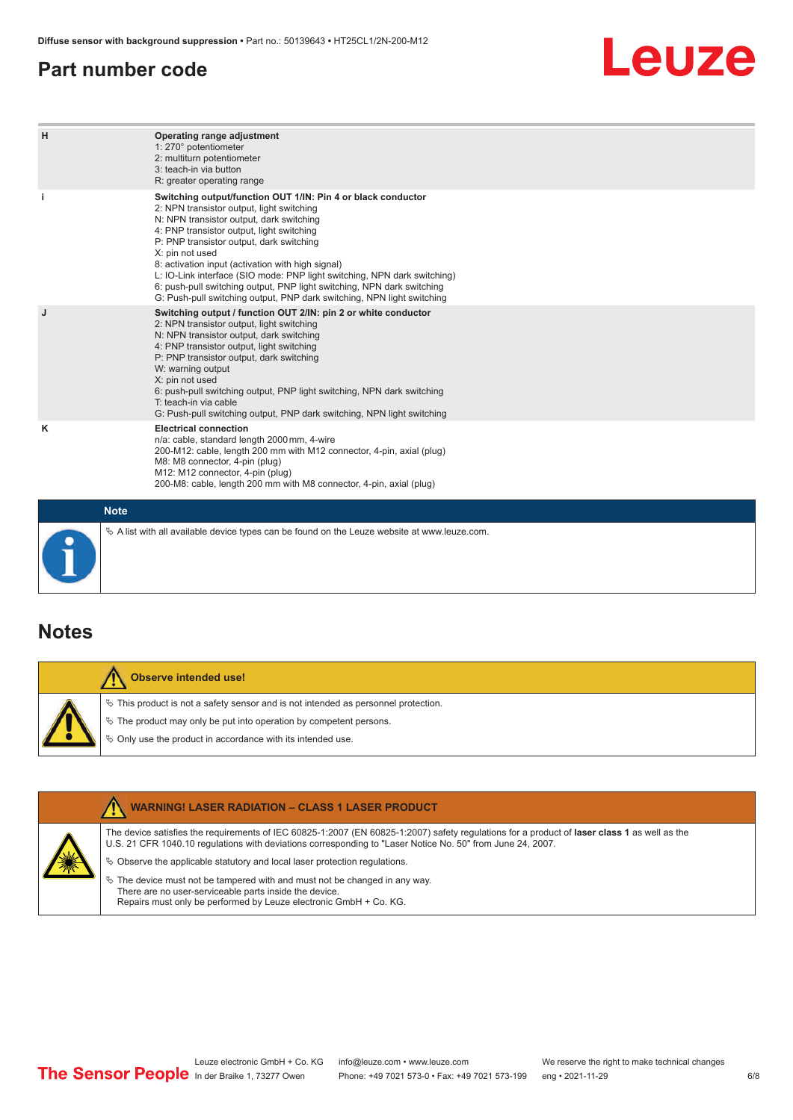#### <span id="page-5-0"></span>**Part number code**

## Leuze

| H           | Operating range adjustment<br>1: 270° potentiometer<br>2: multiturn potentiometer<br>3: teach-in via button<br>R: greater operating range                                                                                                                                                                                                                                                                                                                                                                                                              |
|-------------|--------------------------------------------------------------------------------------------------------------------------------------------------------------------------------------------------------------------------------------------------------------------------------------------------------------------------------------------------------------------------------------------------------------------------------------------------------------------------------------------------------------------------------------------------------|
| j.          | Switching output/function OUT 1/IN: Pin 4 or black conductor<br>2: NPN transistor output, light switching<br>N: NPN transistor output, dark switching<br>4: PNP transistor output, light switching<br>P: PNP transistor output, dark switching<br>X: pin not used<br>8: activation input (activation with high signal)<br>L: IO-Link interface (SIO mode: PNP light switching, NPN dark switching)<br>6: push-pull switching output, PNP light switching, NPN dark switching<br>G: Push-pull switching output, PNP dark switching, NPN light switching |
| J           | Switching output / function OUT 2/IN: pin 2 or white conductor<br>2: NPN transistor output, light switching<br>N: NPN transistor output, dark switching<br>4: PNP transistor output, light switching<br>P: PNP transistor output, dark switching<br>W: warning output<br>X: pin not used<br>6: push-pull switching output, PNP light switching, NPN dark switching<br>T: teach-in via cable<br>G: Push-pull switching output, PNP dark switching, NPN light switching                                                                                  |
| ĸ           | <b>Electrical connection</b><br>n/a: cable, standard length 2000 mm, 4-wire<br>200-M12: cable, length 200 mm with M12 connector, 4-pin, axial (plug)<br>M8: M8 connector, 4-pin (plug)<br>M12: M12 connector, 4-pin (plug)<br>200-M8: cable, length 200 mm with M8 connector, 4-pin, axial (plug)                                                                                                                                                                                                                                                      |
| <b>Note</b> |                                                                                                                                                                                                                                                                                                                                                                                                                                                                                                                                                        |

### **Notes**

| <b>Observe intended use!</b>                                                                                                                                                                                                     |
|----------------------------------------------------------------------------------------------------------------------------------------------------------------------------------------------------------------------------------|
| $\%$ This product is not a safety sensor and is not intended as personnel protection.<br>$\&$ The product may only be put into operation by competent persons.<br>$\%$ Only use the product in accordance with its intended use. |



 $\%$  A list with all available device types can be found on the Leuze website at www.leuze.com.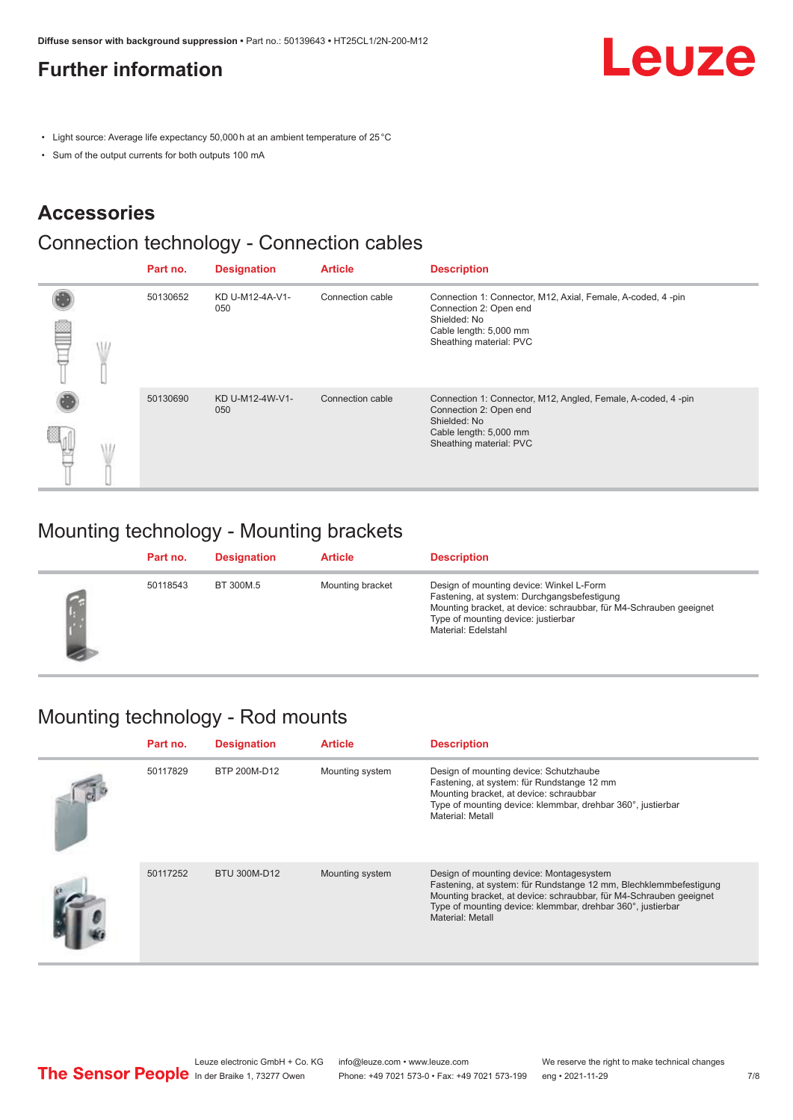### <span id="page-6-0"></span>**Further information**

**Leuze** 

- Light source: Average life expectancy 50,000 h at an ambient temperature of 25 °C
- Sum of the output currents for both outputs 100 mA

#### **Accessories**

## Connection technology - Connection cables

|  | Part no. | <b>Designation</b>     | <b>Article</b>   | <b>Description</b>                                                                                                                                          |
|--|----------|------------------------|------------------|-------------------------------------------------------------------------------------------------------------------------------------------------------------|
|  | 50130652 | KD U-M12-4A-V1-<br>050 | Connection cable | Connection 1: Connector, M12, Axial, Female, A-coded, 4-pin<br>Connection 2: Open end<br>Shielded: No<br>Cable length: 5,000 mm<br>Sheathing material: PVC  |
|  | 50130690 | KD U-M12-4W-V1-<br>050 | Connection cable | Connection 1: Connector, M12, Angled, Female, A-coded, 4-pin<br>Connection 2: Open end<br>Shielded: No<br>Cable length: 5,000 mm<br>Sheathing material: PVC |

#### Mounting technology - Mounting brackets

| Part no. | <b>Designation</b> | <b>Article</b>   | <b>Description</b>                                                                                                                                                                                                          |
|----------|--------------------|------------------|-----------------------------------------------------------------------------------------------------------------------------------------------------------------------------------------------------------------------------|
| 50118543 | BT 300M.5          | Mounting bracket | Design of mounting device: Winkel L-Form<br>Fastening, at system: Durchgangsbefestigung<br>Mounting bracket, at device: schraubbar, für M4-Schrauben geeignet<br>Type of mounting device: justierbar<br>Material: Edelstahl |

#### Mounting technology - Rod mounts

| Part no. | <b>Designation</b> | <b>Article</b>  | <b>Description</b>                                                                                                                                                                                                                                                     |
|----------|--------------------|-----------------|------------------------------------------------------------------------------------------------------------------------------------------------------------------------------------------------------------------------------------------------------------------------|
| 50117829 | BTP 200M-D12       | Mounting system | Design of mounting device: Schutzhaube<br>Fastening, at system: für Rundstange 12 mm<br>Mounting bracket, at device: schraubbar<br>Type of mounting device: klemmbar, drehbar 360°, justierbar<br>Material: Metall                                                     |
| 50117252 | BTU 300M-D12       | Mounting system | Design of mounting device: Montagesystem<br>Fastening, at system: für Rundstange 12 mm, Blechklemmbefestigung<br>Mounting bracket, at device: schraubbar, für M4-Schrauben geeignet<br>Type of mounting device: klemmbar, drehbar 360°, justierbar<br>Material: Metall |